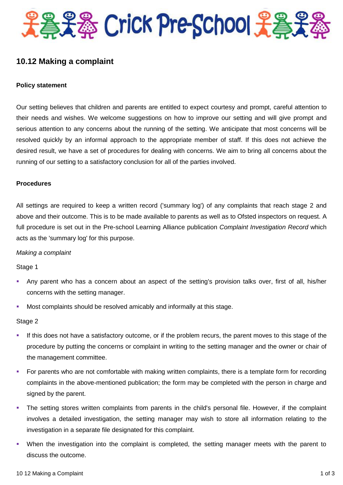

# **10.12 Making a complaint**

#### **Policy statement**

Our setting believes that children and parents are entitled to expect courtesy and prompt, careful attention to their needs and wishes. We welcome suggestions on how to improve our setting and will give prompt and serious attention to any concerns about the running of the setting. We anticipate that most concerns will be resolved quickly by an informal approach to the appropriate member of staff. If this does not achieve the desired result, we have a set of procedures for dealing with concerns. We aim to bring all concerns about the running of our setting to a satisfactory conclusion for all of the parties involved.

#### **Procedures**

All settings are required to keep a written record ('summary log') of any complaints that reach stage 2 and above and their outcome. This is to be made available to parents as well as to Ofsted inspectors on request. A full procedure is set out in the Pre-school Learning Alliance publication *Complaint Investigation Record* which acts as the 'summary log' for this purpose.

#### *Making a complaint*

Stage 1

- Any parent who has a concern about an aspect of the setting's provision talks over, first of all, his/her concerns with the setting manager.
- Most complaints should be resolved amicably and informally at this stage.

Stage 2

- If this does not have a satisfactory outcome, or if the problem recurs, the parent moves to this stage of the procedure by putting the concerns or complaint in writing to the setting manager and the owner or chair of the management committee.
- For parents who are not comfortable with making written complaints, there is a template form for recording complaints in the above-mentioned publication; the form may be completed with the person in charge and signed by the parent.
- The setting stores written complaints from parents in the child's personal file. However, if the complaint involves a detailed investigation, the setting manager may wish to store all information relating to the investigation in a separate file designated for this complaint.
- When the investigation into the complaint is completed, the setting manager meets with the parent to discuss the outcome.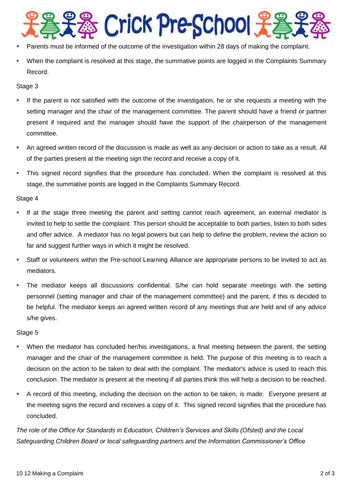

- Parents must be informed of the outcome of the investigation within 28 days of making the complaint.
- When the complaint is resolved at this stage, the summative points are logged in the Complaints Summary Record.

#### Stage 3

- If the parent is not satisfied with the outcome of the investigation, he or she requests a meeting with the setting manager and the chair of the management committee. The parent should have a friend or partner present if required and the manager should have the support of the chairperson of the management committee.
- An agreed written record of the discussion is made as well as any decision or action to take as a result. All of the parties present at the meeting sign the record and receive a copy of it.
- This signed record signifies that the procedure has concluded. When the complaint is resolved at this stage, the summative points are logged in the Complaints Summary Record.

## Stage 4

- If at the stage three meeting the parent and setting cannot reach agreement, an external mediator is invited to help to settle the complaint. This person should be acceptable to both parties, listen to both sides and offer advice. A mediator has no legal powers but can help to define the problem, review the action so far and suggest further ways in which it might be resolved.
- Staff or volunteers within the Pre-school Learning Alliance are appropriate persons to be invited to act as mediators.
- The mediator keeps all discussions confidential. S/he can hold separate meetings with the setting personnel (setting manager and chair of the management committee) and the parent, if this is decided to be helpful. The mediator keeps an agreed written record of any meetings that are held and of any advice s/he gives.

#### Stage 5

- When the mediator has concluded her/his investigations, a final meeting between the parent, the setting manager and the chair of the management committee is held. The purpose of this meeting is to reach a decision on the action to be taken to deal with the complaint. The mediator's advice is used to reach this conclusion. The mediator is present at the meeting if all parties think this will help a decision to be reached.
- A record of this meeting, including the decision on the action to be taken, is made. Everyone present at the meeting signs the record and receives a copy of it. This signed record signifies that the procedure has concluded.

*The role of the Office for Standards in Education, Children's Services and Skills (Ofsted) and the Local Safeguarding Children Board or local safeguarding partners and the Information Commissioner's Office*